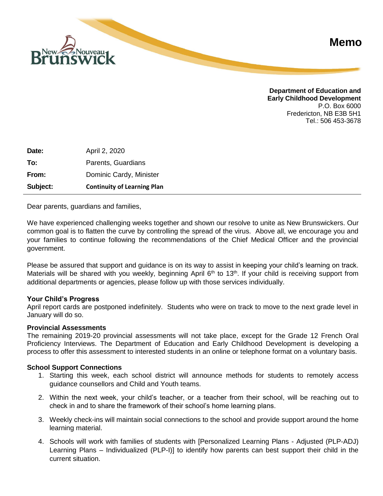

**Department of Education and Early Childhood Development** P.O. Box 6000 Fredericton, NB E3B 5H1 Tel.: 506 453-3678

**Date:** April 2, 2020 **To:** Parents, Guardians **From:** Dominic Cardy, Minister **Subject: Continuity of Learning Plan**

Dear parents, guardians and families,

We have experienced challenging weeks together and shown our resolve to unite as New Brunswickers. Our common goal is to flatten the curve by controlling the spread of the virus. Above all, we encourage you and your families to continue following the recommendations of the Chief Medical Officer and the provincial government.

Please be assured that support and guidance is on its way to assist in keeping your child's learning on track. Materials will be shared with you weekly, beginning April  $6<sup>th</sup>$  to 13<sup>th</sup>. If your child is receiving support from additional departments or agencies, please follow up with those services individually.

### **Your Child's Progress**

April report cards are postponed indefinitely. Students who were on track to move to the next grade level in January will do so.

### **Provincial Assessments**

The remaining 2019-20 provincial assessments will not take place, except for the Grade 12 French Oral Proficiency Interviews. The Department of Education and Early Childhood Development is developing a process to offer this assessment to interested students in an online or telephone format on a voluntary basis.

### **School Support Connections**

- 1. Starting this week, each school district will announce methods for students to remotely access guidance counsellors and Child and Youth teams.
- 2. Within the next week, your child's teacher, or a teacher from their school, will be reaching out to check in and to share the framework of their school's home learning plans.
- 3. Weekly check-ins will maintain social connections to the school and provide support around the home learning material.
- 4. Schools will work with families of students with [Personalized Learning Plans Adjusted (PLP-ADJ) Learning Plans – Individualized (PLP-I)] to identify how parents can best support their child in the current situation.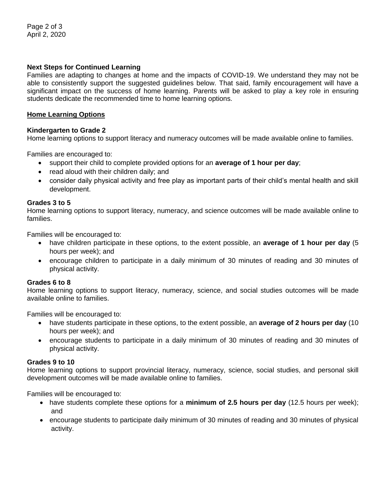# **Next Steps for Continued Learning**

Families are adapting to changes at home and the impacts of COVID-19. We understand they may not be able to consistently support the suggested guidelines below. That said, family encouragement will have a significant impact on the success of home learning. Parents will be asked to play a key role in ensuring students dedicate the recommended time to home learning options.

### **Home Learning Options**

## **Kindergarten to Grade 2**

Home learning options to support literacy and numeracy outcomes will be made available online to families.

Families are encouraged to:

- support their child to complete provided options for an **average of 1 hour per day**;
- read aloud with their children daily; and
- consider daily physical activity and free play as important parts of their child's mental health and skill development.

## **Grades 3 to 5**

Home learning options to support literacy, numeracy, and science outcomes will be made available online to families.

Families will be encouraged to:

- have children participate in these options, to the extent possible, an **average of 1 hour per day** (5 hours per week); and
- encourage children to participate in a daily minimum of 30 minutes of reading and 30 minutes of physical activity.

### **Grades 6 to 8**

Home learning options to support literacy, numeracy, science, and social studies outcomes will be made available online to families.

Families will be encouraged to:

- have students participate in these options, to the extent possible, an **average of 2 hours per day** (10 hours per week); and
- encourage students to participate in a daily minimum of 30 minutes of reading and 30 minutes of physical activity.

## **Grades 9 to 10**

Home learning options to support provincial literacy, numeracy, science, social studies, and personal skill development outcomes will be made available online to families.

Families will be encouraged to:

- have students complete these options for a **minimum of 2.5 hours per day** (12.5 hours per week); and
- encourage students to participate daily minimum of 30 minutes of reading and 30 minutes of physical activity.